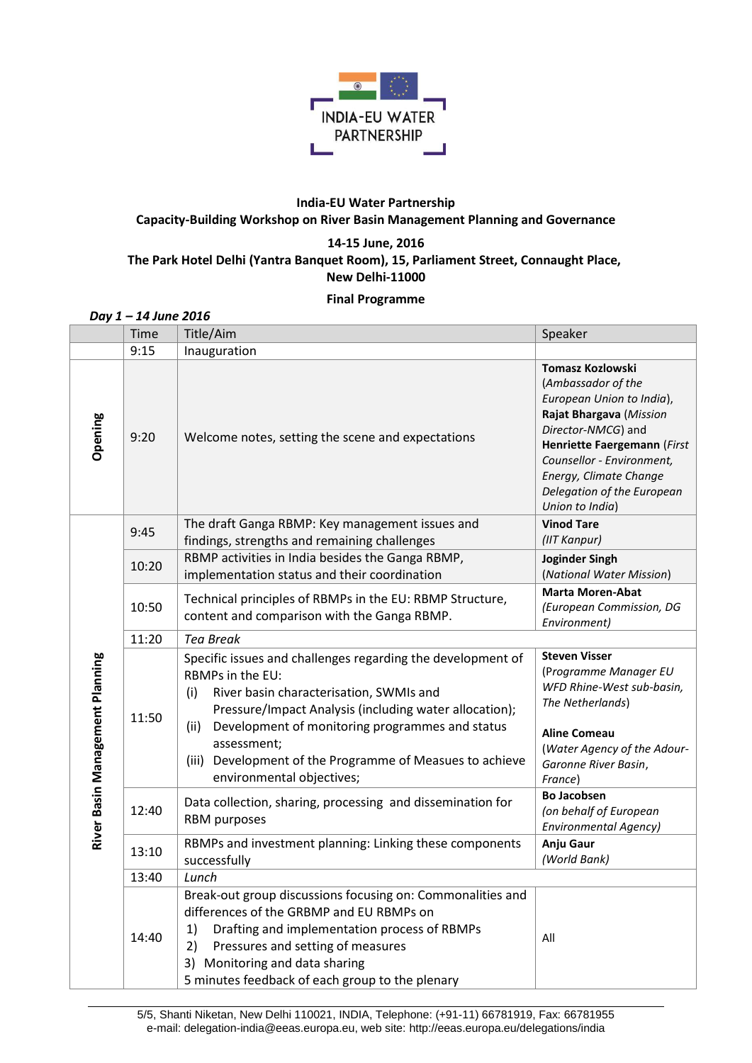

## **India-EU Water Partnership Capacity-Building Workshop on River Basin Management Planning and Governance**

## **14-15 June, 2016 The Park Hotel Delhi (Yantra Banquet Room), 15, Parliament Street, Connaught Place, New Delhi-11000**

## **Final Programme**

|                                 | Day 1-14 June 2016 |                                                                                                                                                                                                                                                                                                                                                                   |                                                                                                                                                                                                                                                                    |
|---------------------------------|--------------------|-------------------------------------------------------------------------------------------------------------------------------------------------------------------------------------------------------------------------------------------------------------------------------------------------------------------------------------------------------------------|--------------------------------------------------------------------------------------------------------------------------------------------------------------------------------------------------------------------------------------------------------------------|
|                                 | Time               | Title/Aim                                                                                                                                                                                                                                                                                                                                                         | Speaker                                                                                                                                                                                                                                                            |
|                                 | 9:15               | Inauguration                                                                                                                                                                                                                                                                                                                                                      |                                                                                                                                                                                                                                                                    |
| Opening                         | 9:20               | Welcome notes, setting the scene and expectations                                                                                                                                                                                                                                                                                                                 | <b>Tomasz Kozlowski</b><br>(Ambassador of the<br>European Union to India),<br>Rajat Bhargava (Mission<br>Director-NMCG) and<br>Henriette Faergemann (First<br>Counsellor - Environment,<br>Energy, Climate Change<br>Delegation of the European<br>Union to India) |
|                                 | 9:45               | The draft Ganga RBMP: Key management issues and<br>findings, strengths and remaining challenges                                                                                                                                                                                                                                                                   | <b>Vinod Tare</b><br>(IIT Kanpur)                                                                                                                                                                                                                                  |
|                                 | 10:20              | RBMP activities in India besides the Ganga RBMP,<br>implementation status and their coordination                                                                                                                                                                                                                                                                  | <b>Joginder Singh</b><br>(National Water Mission)                                                                                                                                                                                                                  |
|                                 | 10:50              | Technical principles of RBMPs in the EU: RBMP Structure,<br>content and comparison with the Ganga RBMP.                                                                                                                                                                                                                                                           | <b>Marta Moren-Abat</b><br>(European Commission, DG<br>Environment)                                                                                                                                                                                                |
|                                 | 11:20              | <b>Tea Break</b>                                                                                                                                                                                                                                                                                                                                                  |                                                                                                                                                                                                                                                                    |
| River Basin Management Planning | 11:50              | Specific issues and challenges regarding the development of<br>RBMPs in the EU:<br>River basin characterisation, SWMIs and<br>(i)<br>Pressure/Impact Analysis (including water allocation);<br>Development of monitoring programmes and status<br>(ii)<br>assessment;<br>Development of the Programme of Measues to achieve<br>(iii)<br>environmental objectives; | <b>Steven Visser</b><br>(Programme Manager EU<br>WFD Rhine-West sub-basin,<br>The Netherlands)<br><b>Aline Comeau</b><br>(Water Agency of the Adour-<br>Garonne River Basin,<br>France)                                                                            |
|                                 | 12:40              | Data collection, sharing, processing and dissemination for<br>RBM purposes                                                                                                                                                                                                                                                                                        | <b>Bo Jacobsen</b><br>(on behalf of European<br><b>Environmental Agency)</b>                                                                                                                                                                                       |
|                                 | 13:10              | RBMPs and investment planning: Linking these components<br>successfully                                                                                                                                                                                                                                                                                           | Anju Gaur<br>(World Bank)                                                                                                                                                                                                                                          |
|                                 | 13:40              | Lunch                                                                                                                                                                                                                                                                                                                                                             |                                                                                                                                                                                                                                                                    |
|                                 | 14:40              | Break-out group discussions focusing on: Commonalities and<br>differences of the GRBMP and EU RBMPs on<br>1)<br>Drafting and implementation process of RBMPs<br>2)<br>Pressures and setting of measures<br>3) Monitoring and data sharing<br>5 minutes feedback of each group to the plenary                                                                      | All                                                                                                                                                                                                                                                                |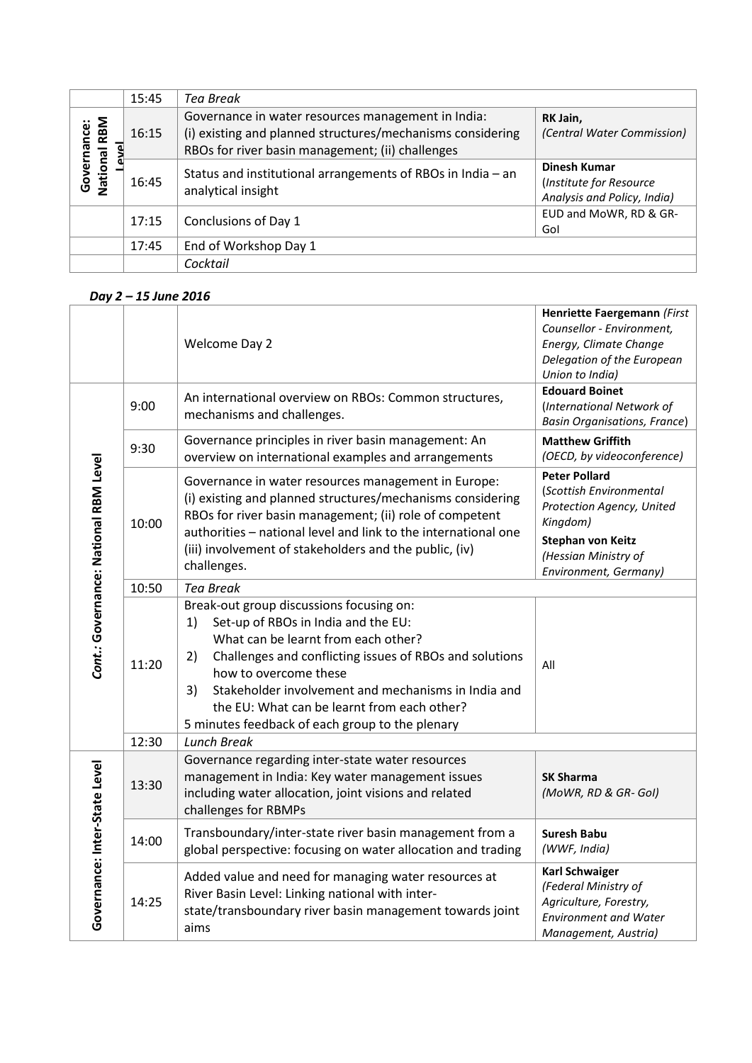|                                | 15:45 | Tea Break                                                                                                                                                            |                                                                               |  |
|--------------------------------|-------|----------------------------------------------------------------------------------------------------------------------------------------------------------------------|-------------------------------------------------------------------------------|--|
| RBM<br>Governance:<br>National | 16:15 | Governance in water resources management in India:<br>(i) existing and planned structures/mechanisms considering<br>RBOs for river basin management; (ii) challenges | RK Jain,<br>(Central Water Commission)                                        |  |
|                                | 16:45 | Status and institutional arrangements of RBOs in India - an<br>analytical insight                                                                                    | <b>Dinesh Kumar</b><br>(Institute for Resource<br>Analysis and Policy, India) |  |
|                                | 17:15 | Conclusions of Day 1                                                                                                                                                 | EUD and MoWR, RD & GR-<br>Gol                                                 |  |
|                                | 17:45 | End of Workshop Day 1                                                                                                                                                |                                                                               |  |
|                                |       | Cocktail                                                                                                                                                             |                                                                               |  |

## *Day 2 – 15 June 2016*

|                                       |       | Welcome Day 2                                                                                                                                                                                                                                                                                                                                                                         | Henriette Faergemann (First<br>Counsellor - Environment,<br>Energy, Climate Change<br>Delegation of the European<br>Union to India)                                   |
|---------------------------------------|-------|---------------------------------------------------------------------------------------------------------------------------------------------------------------------------------------------------------------------------------------------------------------------------------------------------------------------------------------------------------------------------------------|-----------------------------------------------------------------------------------------------------------------------------------------------------------------------|
| Cont.: Governance: National RBM Level | 9:00  | An international overview on RBOs: Common structures,<br>mechanisms and challenges.                                                                                                                                                                                                                                                                                                   | <b>Edouard Boinet</b><br>(International Network of<br><b>Basin Organisations, France)</b>                                                                             |
|                                       | 9:30  | Governance principles in river basin management: An<br>overview on international examples and arrangements                                                                                                                                                                                                                                                                            | <b>Matthew Griffith</b><br>(OECD, by videoconference)                                                                                                                 |
|                                       | 10:00 | Governance in water resources management in Europe:<br>(i) existing and planned structures/mechanisms considering<br>RBOs for river basin management; (ii) role of competent<br>authorities - national level and link to the international one<br>(iii) involvement of stakeholders and the public, (iv)<br>challenges.                                                               | <b>Peter Pollard</b><br>(Scottish Environmental<br>Protection Agency, United<br>Kingdom)<br><b>Stephan von Keitz</b><br>(Hessian Ministry of<br>Environment, Germany) |
|                                       | 10:50 | <b>Tea Break</b>                                                                                                                                                                                                                                                                                                                                                                      |                                                                                                                                                                       |
|                                       | 11:20 | Break-out group discussions focusing on:<br>Set-up of RBOs in India and the EU:<br>1)<br>What can be learnt from each other?<br>Challenges and conflicting issues of RBOs and solutions<br>2)<br>how to overcome these<br>Stakeholder involvement and mechanisms in India and<br>3)<br>the EU: What can be learnt from each other?<br>5 minutes feedback of each group to the plenary | All                                                                                                                                                                   |
|                                       | 12:30 | <b>Lunch Break</b>                                                                                                                                                                                                                                                                                                                                                                    |                                                                                                                                                                       |
| Governance: Inter-State Level         | 13:30 | Governance regarding inter-state water resources<br>management in India: Key water management issues<br>including water allocation, joint visions and related<br>challenges for RBMPs                                                                                                                                                                                                 | <b>SK Sharma</b><br>(MoWR, RD & GR- Gol)                                                                                                                              |
|                                       | 14:00 | Transboundary/inter-state river basin management from a<br>global perspective: focusing on water allocation and trading                                                                                                                                                                                                                                                               | <b>Suresh Babu</b><br>(WWF, India)                                                                                                                                    |
|                                       | 14:25 | Added value and need for managing water resources at<br>River Basin Level: Linking national with inter-<br>state/transboundary river basin management towards joint<br>aims                                                                                                                                                                                                           | <b>Karl Schwaiger</b><br>(Federal Ministry of<br>Agriculture, Forestry,<br><b>Environment and Water</b><br>Management, Austria)                                       |